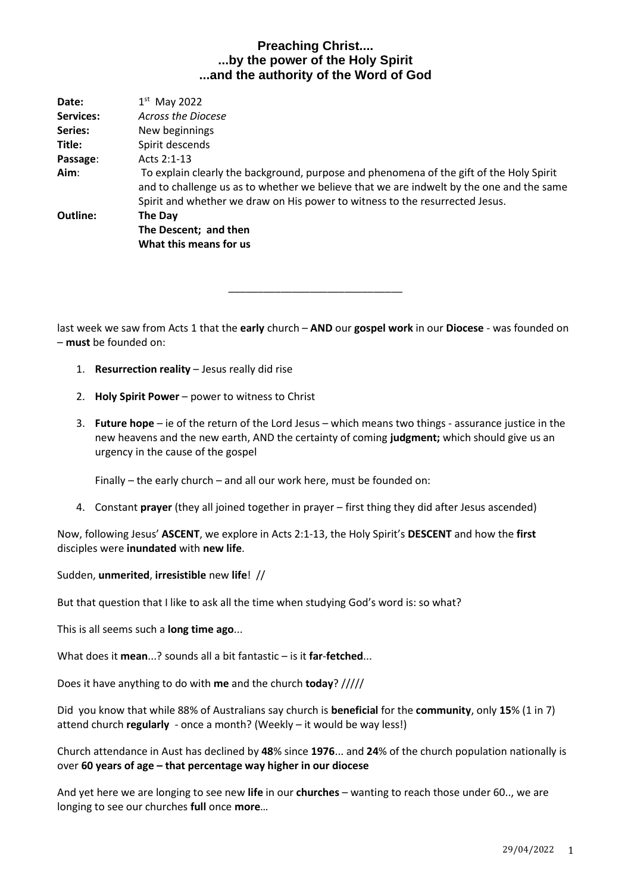| Date:     | $1st$ May 2022                                                                                                                                                                                                                                                      |
|-----------|---------------------------------------------------------------------------------------------------------------------------------------------------------------------------------------------------------------------------------------------------------------------|
| Services: | <b>Across the Diocese</b>                                                                                                                                                                                                                                           |
| Series:   | New beginnings                                                                                                                                                                                                                                                      |
| Title:    | Spirit descends                                                                                                                                                                                                                                                     |
| Passage:  | Acts $2:1-13$                                                                                                                                                                                                                                                       |
| Aim:      | To explain clearly the background, purpose and phenomena of the gift of the Holy Spirit<br>and to challenge us as to whether we believe that we are indwelt by the one and the same<br>Spirit and whether we draw on His power to witness to the resurrected Jesus. |
| Outline:  | The Day                                                                                                                                                                                                                                                             |
|           | The Descent; and then                                                                                                                                                                                                                                               |
|           | What this means for us                                                                                                                                                                                                                                              |
|           |                                                                                                                                                                                                                                                                     |

last week we saw from Acts 1 that the **early** church – **AND** our **gospel work** in our **Diocese** - was founded on – **must** be founded on:

\_\_\_\_\_\_\_\_\_\_\_\_\_\_\_\_\_\_\_\_\_\_\_\_\_\_\_\_\_\_

- 1. **Resurrection reality** Jesus really did rise
- 2. **Holy Spirit Power** power to witness to Christ
- 3. **Future hope** ie of the return of the Lord Jesus which means two things assurance justice in the new heavens and the new earth, AND the certainty of coming **judgment;** which should give us an urgency in the cause of the gospel

Finally – the early church – and all our work here, must be founded on:

4. Constant **prayer** (they all joined together in prayer – first thing they did after Jesus ascended)

Now, following Jesus' **ASCENT**, we explore in Acts 2:1-13, the Holy Spirit's **DESCENT** and how the **first** disciples were **inundated** with **new life**.

### Sudden, **unmerited**, **irresistible** new **life**! //

But that question that I like to ask all the time when studying God's word is: so what?

This is all seems such a **long time ago**...

What does it **mean**...? sounds all a bit fantastic – is it **far**-**fetched**...

Does it have anything to do with **me** and the church **today**? /////

Did you know that while 88% of Australians say church is **beneficial** for the **community**, only **15**% (1 in 7) attend church **regularly** - once a month? (Weekly – it would be way less!)

Church attendance in Aust has declined by **48**% since **1976**... and **24**% of the church population nationally is over **60 years of age – that percentage way higher in our diocese**

And yet here we are longing to see new **life** in our **churches** – wanting to reach those under 60.., we are longing to see our churches **full** once **more**…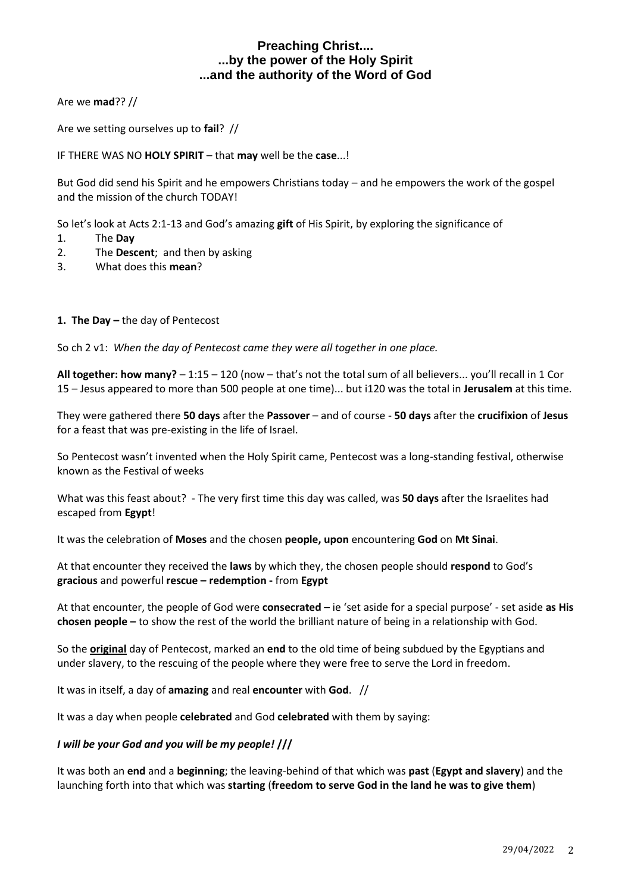Are we **mad**?? //

Are we setting ourselves up to **fail**? //

IF THERE WAS NO **HOLY SPIRIT** – that **may** well be the **case**...!

But God did send his Spirit and he empowers Christians today – and he empowers the work of the gospel and the mission of the church TODAY!

So let's look at Acts 2:1-13 and God's amazing **gift** of His Spirit, by exploring the significance of

- 1. The **Day**
- 2. The **Descent**; and then by asking
- 3. What does this **mean**?

### **1. The Day –** the day of Pentecost

So ch 2 v1: *When the day of Pentecost came they were all together in one place.*

**All together: how many?** – 1:15 – 120 (now – that's not the total sum of all believers... you'll recall in 1 Cor 15 – Jesus appeared to more than 500 people at one time)... but i120 was the total in **Jerusalem** at this time.

They were gathered there **50 days** after the **Passover** – and of course - **50 days** after the **crucifixion** of **Jesus** for a feast that was pre-existing in the life of Israel.

So Pentecost wasn't invented when the Holy Spirit came, Pentecost was a long-standing festival, otherwise known as the Festival of weeks

What was this feast about? - The very first time this day was called, was **50 days** after the Israelites had escaped from **Egypt**!

It was the celebration of **Moses** and the chosen **people, upon** encountering **God** on **Mt Sinai**.

At that encounter they received the **laws** by which they, the chosen people should **respond** to God's **gracious** and powerful **rescue – redemption -** from **Egypt**

At that encounter, the people of God were **consecrated** – ie 'set aside for a special purpose' - set aside **as His chosen people –** to show the rest of the world the brilliant nature of being in a relationship with God.

So the **original** day of Pentecost, marked an **end** to the old time of being subdued by the Egyptians and under slavery, to the rescuing of the people where they were free to serve the Lord in freedom.

It was in itself, a day of **amazing** and real **encounter** with **God**. //

It was a day when people **celebrated** and God **celebrated** with them by saying:

### *I will be your God and you will be my people!* **///**

It was both an **end** and a **beginning**; the leaving-behind of that which was **past** (**Egypt and slavery**) and the launching forth into that which was **starting** (**freedom to serve God in the land he was to give them**)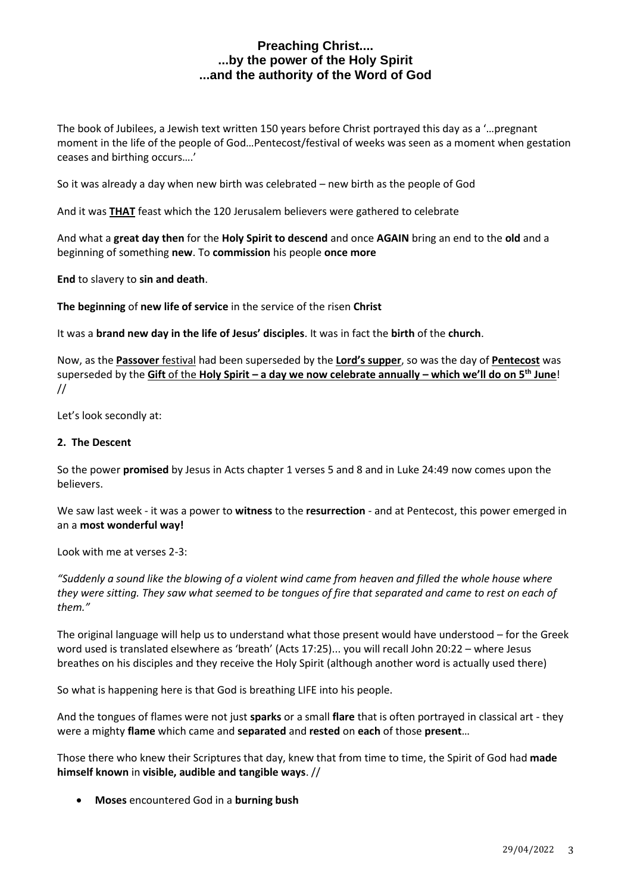The book of Jubilees, a Jewish text written 150 years before Christ portrayed this day as a '…pregnant moment in the life of the people of God…Pentecost/festival of weeks was seen as a moment when gestation ceases and birthing occurs….'

So it was already a day when new birth was celebrated – new birth as the people of God

And it was **THAT** feast which the 120 Jerusalem believers were gathered to celebrate

And what a **great day then** for the **Holy Spirit to descend** and once **AGAIN** bring an end to the **old** and a beginning of something **new**. To **commission** his people **once more**

**End** to slavery to **sin and death**.

**The beginning** of **new life of service** in the service of the risen **Christ**

It was a **brand new day in the life of Jesus' disciples**. It was in fact the **birth** of the **church**.

Now, as the **Passover** festival had been superseded by the **Lord's supper**, so was the day of **Pentecost** was superseded by the **Gift** of the **Holy Spirit – a day we now celebrate annually – which we'll do on 5th June**! //

Let's look secondly at:

### **2. The Descent**

So the power **promised** by Jesus in Acts chapter 1 verses 5 and 8 and in Luke 24:49 now comes upon the believers.

We saw last week - it was a power to **witness** to the **resurrection** - and at Pentecost, this power emerged in an a **most wonderful way!**

Look with me at verses 2-3:

*"Suddenly a sound like the blowing of a violent wind came from heaven and filled the whole house where they were sitting. They saw what seemed to be tongues of fire that separated and came to rest on each of them."*

The original language will help us to understand what those present would have understood – for the Greek word used is translated elsewhere as 'breath' (Acts 17:25)... you will recall John 20:22 – where Jesus breathes on his disciples and they receive the Holy Spirit (although another word is actually used there)

So what is happening here is that God is breathing LIFE into his people.

And the tongues of flames were not just **sparks** or a small **flare** that is often portrayed in classical art - they were a mighty **flame** which came and **separated** and **rested** on **each** of those **present**…

Those there who knew their Scriptures that day, knew that from time to time, the Spirit of God had **made himself known** in **visible, audible and tangible ways**. //

• **Moses** encountered God in a **burning bush**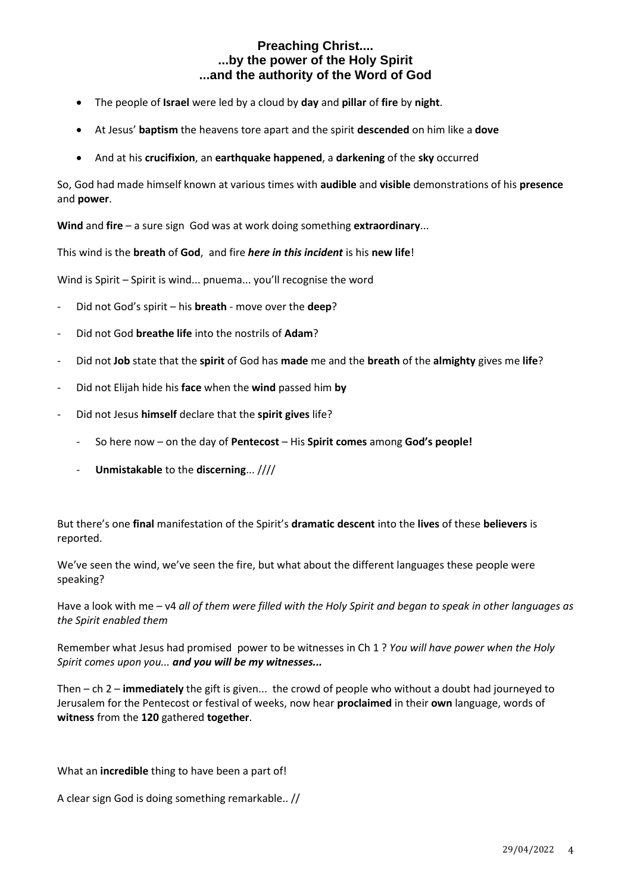- The people of **Israel** were led by a cloud by **day** and **pillar** of **fire** by **night**.
- At Jesus' **baptism** the heavens tore apart and the spirit **descended** on him like a **dove**
- And at his **crucifixion**, an **earthquake happened**, a **darkening** of the **sky** occurred

So, God had made himself known at various times with **audible** and **visible** demonstrations of his **presence** and **power**.

**Wind** and **fire** – a sure sign God was at work doing something **extraordinary**...

This wind is the **breath** of **God**, and fire *here in this incident* is his **new life**!

Wind is Spirit – Spirit is wind... pnuema... you'll recognise the word

- Did not God's spirit his **breath** move over the **deep**?
- Did not God **breathe life** into the nostrils of **Adam**?
- Did not **Job** state that the **spirit** of God has **made** me and the **breath** of the **almighty** gives me **life**?
- Did not Elijah hide his **face** when the **wind** passed him **by**
- Did not Jesus **himself** declare that the **spirit gives** life?
	- So here now on the day of **Pentecost** His **Spirit comes** among **God's people!**
	- **Unmistakable** to the **discerning**... ////

But there's one **final** manifestation of the Spirit's **dramatic descent** into the **lives** of these **believers** is reported.

We've seen the wind, we've seen the fire, but what about the different languages these people were speaking?

Have a look with me – v4 *all of them were filled with the Holy Spirit and began to speak in other languages as the Spirit enabled them*

Remember what Jesus had promised power to be witnesses in Ch 1 ? *You will have power when the Holy Spirit comes upon you... and you will be my witnesses...*

Then – ch 2 – **immediately** the gift is given... the crowd of people who without a doubt had journeyed to Jerusalem for the Pentecost or festival of weeks, now hear **proclaimed** in their **own** language, words of **witness** from the **120** gathered **together**.

What an **incredible** thing to have been a part of!

A clear sign God is doing something remarkable.. //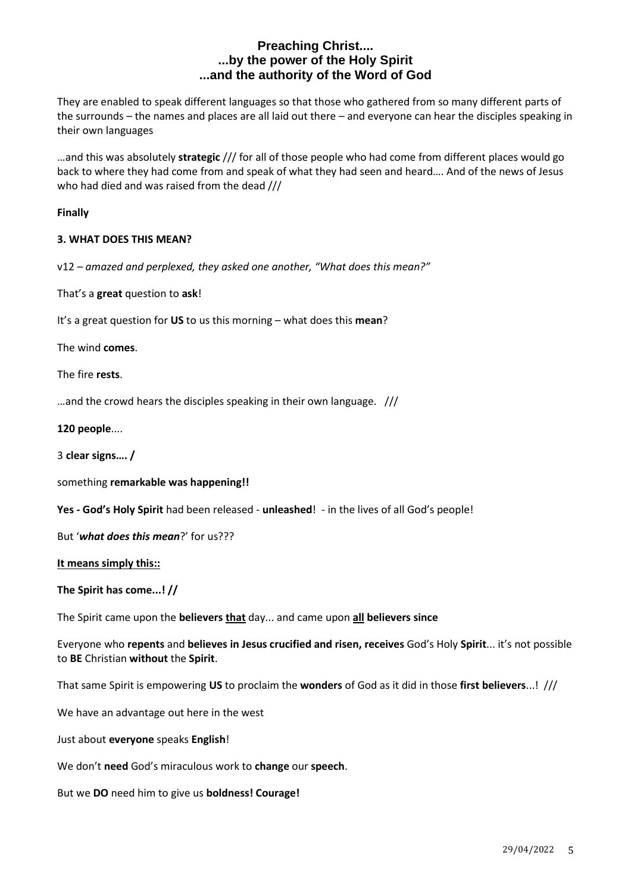They are enabled to speak different languages so that those who gathered from so many different parts of the surrounds – the names and places are all laid out there – and everyone can hear the disciples speaking in their own languages

…and this was absolutely **strategic** /// for all of those people who had come from different places would go back to where they had come from and speak of what they had seen and heard…. And of the news of Jesus who had died and was raised from the dead ///

### **Finally**

### **3. WHAT DOES THIS MEAN?**

v12 – *amazed and perplexed, they asked one another, "What does this mean?"*

That's a **great** question to **ask**!

It's a great question for **US** to us this morning – what does this **mean**?

The wind **comes**.

The fire **rests**.

…and the crowd hears the disciples speaking in their own language. ///

**120 people**....

3 **clear signs…. /**

something **remarkable was happening!!**

**Yes - God's Holy Spirit** had been released - **unleashed**! - in the lives of all God's people!

But '*what does this mean*?' for us???

**It means simply this::**

**The Spirit has come...! //**

The Spirit came upon the **believers that** day... and came upon **all believers since**

Everyone who **repents** and **believes in Jesus crucified and risen, receives** God's Holy **Spirit**... it's not possible to **BE** Christian **without** the **Spirit**.

That same Spirit is empowering **US** to proclaim the **wonders** of God as it did in those **first believers**...! ///

We have an advantage out here in the west

Just about **everyone** speaks **English**!

We don't **need** God's miraculous work to **change** our **speech**.

But we **DO** need him to give us **boldness! Courage!**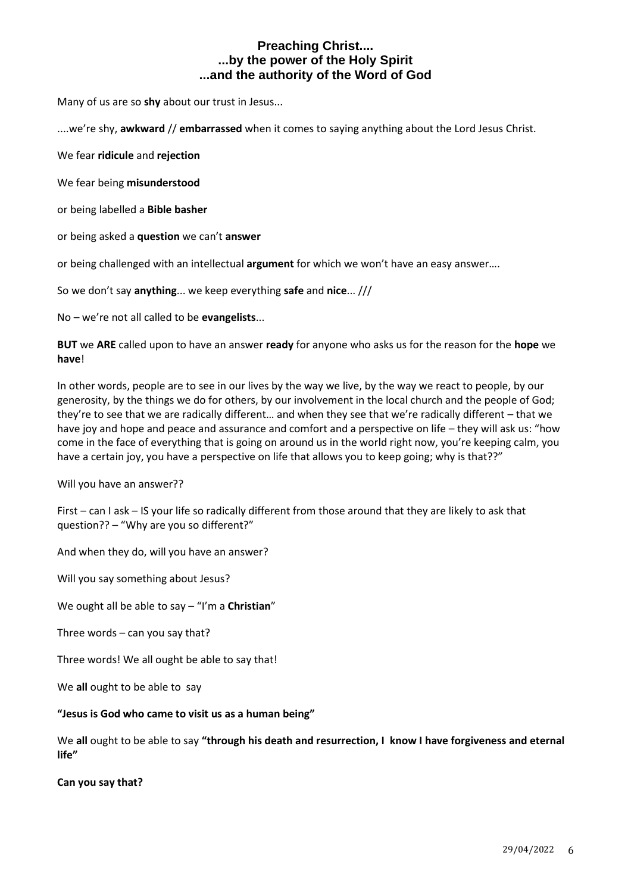Many of us are so **shy** about our trust in Jesus...

....we're shy, **awkward** // **embarrassed** when it comes to saying anything about the Lord Jesus Christ.

We fear **ridicule** and **rejection**

We fear being **misunderstood**

or being labelled a **Bible basher**

or being asked a **question** we can't **answer**

or being challenged with an intellectual **argument** for which we won't have an easy answer….

So we don't say **anything**... we keep everything **safe** and **nice**... ///

No – we're not all called to be **evangelists**...

**BUT** we **ARE** called upon to have an answer **ready** for anyone who asks us for the reason for the **hope** we **have**!

In other words, people are to see in our lives by the way we live, by the way we react to people, by our generosity, by the things we do for others, by our involvement in the local church and the people of God; they're to see that we are radically different… and when they see that we're radically different – that we have joy and hope and peace and assurance and comfort and a perspective on life – they will ask us: "how come in the face of everything that is going on around us in the world right now, you're keeping calm, you have a certain joy, you have a perspective on life that allows you to keep going; why is that??"

Will you have an answer??

First – can I ask – IS your life so radically different from those around that they are likely to ask that question?? – "Why are you so different?"

And when they do, will you have an answer?

Will you say something about Jesus?

We ought all be able to say – "I'm a **Christian**"

Three words – can you say that?

Three words! We all ought be able to say that!

We **all** ought to be able to say

#### **"Jesus is God who came to visit us as a human being"**

We **all** ought to be able to say **"through his death and resurrection, I know I have forgiveness and eternal life"**

**Can you say that?**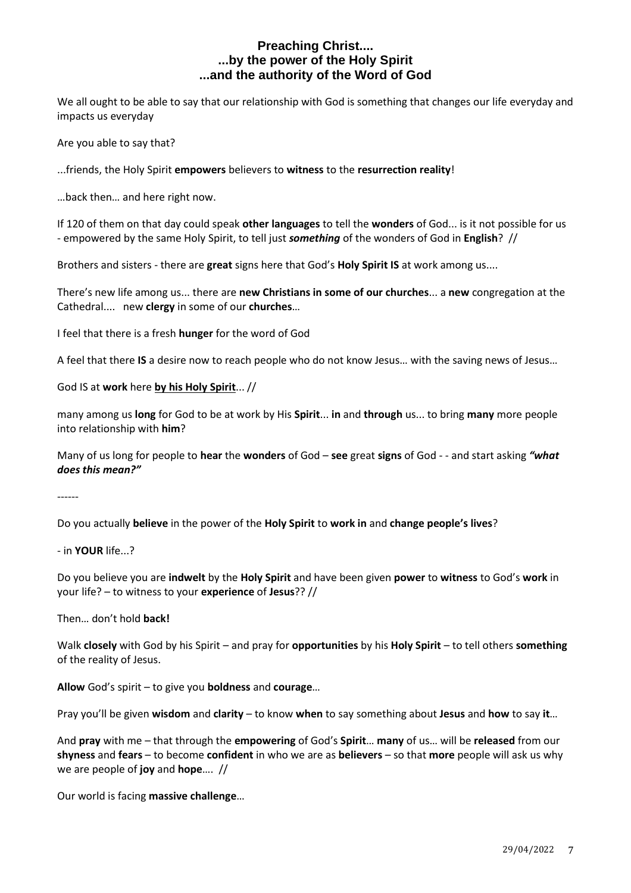We all ought to be able to say that our relationship with God is something that changes our life everyday and impacts us everyday

Are you able to say that?

...friends, the Holy Spirit **empowers** believers to **witness** to the **resurrection reality**!

…back then… and here right now.

If 120 of them on that day could speak **other languages** to tell the **wonders** of God... is it not possible for us - empowered by the same Holy Spirit, to tell just *something* of the wonders of God in **English**? //

Brothers and sisters - there are **great** signs here that God's **Holy Spirit IS** at work among us....

There's new life among us... there are **new Christians in some of our churches**... a **new** congregation at the Cathedral.... new **clergy** in some of our **churches**…

I feel that there is a fresh **hunger** for the word of God

A feel that there **IS** a desire now to reach people who do not know Jesus… with the saving news of Jesus…

God IS at **work** here **by his Holy Spirit**... //

many among us **long** for God to be at work by His **Spirit**... **in** and **through** us... to bring **many** more people into relationship with **him**?

Many of us long for people to **hear** the **wonders** of God – **see** great **signs** of God - - and start asking *"what does this mean?"*

------

Do you actually **believe** in the power of the **Holy Spirit** to **work in** and **change people's lives**?

- in **YOUR** life...?

Do you believe you are **indwelt** by the **Holy Spirit** and have been given **power** to **witness** to God's **work** in your life? – to witness to your **experience** of **Jesus**?? //

Then… don't hold **back!**

Walk **closely** with God by his Spirit – and pray for **opportunities** by his **Holy Spirit** – to tell others **something** of the reality of Jesus.

**Allow** God's spirit – to give you **boldness** and **courage**…

Pray you'll be given **wisdom** and **clarity** – to know **when** to say something about **Jesus** and **how** to say **it**…

And **pray** with me – that through the **empowering** of God's **Spirit**… **many** of us… will be **released** from our **shyness** and **fears** – to become **confident** in who we are as **believers** – so that **more** people will ask us why we are people of **joy** and **hope**…. //

Our world is facing **massive challenge**…